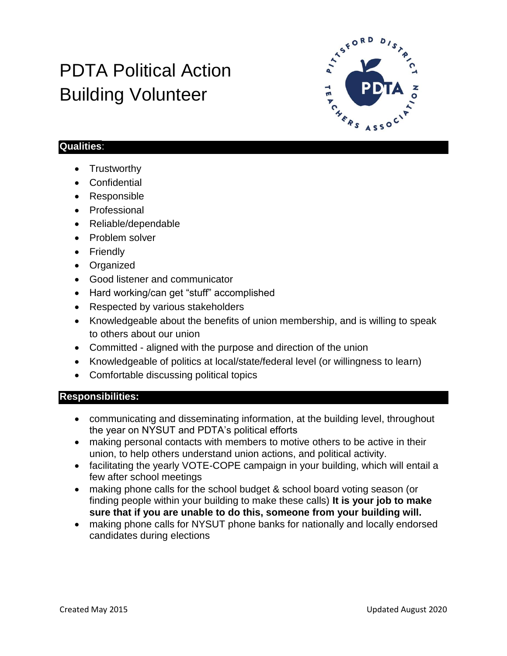# PDTA Political Action Building Volunteer



### **Qualities**:

- **Trustworthy**
- Confidential
- Responsible
- Professional
- Reliable/dependable
- Problem solver
- Friendly
- Organized
- Good listener and communicator
- Hard working/can get "stuff" accomplished
- Respected by various stakeholders
- Knowledgeable about the benefits of union membership, and is willing to speak to others about our union
- Committed aligned with the purpose and direction of the union
- Knowledgeable of politics at local/state/federal level (or willingness to learn)
- Comfortable discussing political topics

#### **Responsibilities:**

- communicating and disseminating information, at the building level, throughout the year on NYSUT and PDTA's political efforts
- making personal contacts with members to motive others to be active in their union, to help others understand union actions, and political activity.
- facilitating the yearly VOTE-COPE campaign in your building, which will entail a few after school meetings
- making phone calls for the school budget & school board voting season (or finding people within your building to make these calls) **It is your job to make sure that if you are unable to do this, someone from your building will.**
- making phone calls for NYSUT phone banks for nationally and locally endorsed candidates during elections